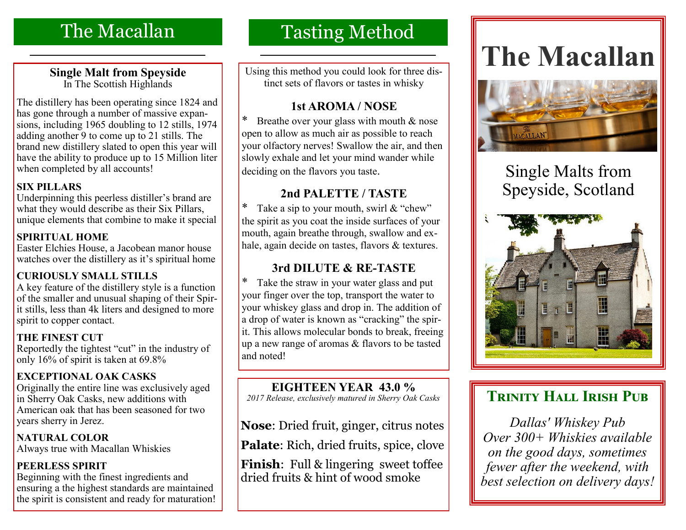# The Macallan

#### **Single Malt from Speyside** In The Scottish Highlands

The distillery has been operating since 1824 and has gone through a number of massive expansions, including 1965 doubling to 12 stills, 1974 adding another 9 to come up to 21 stills. The brand new distillery slated to open this year will have the ability to produce up to 15 Million liter when completed by all accounts!

### **SIX PILLARS**

Underpinning this peerless distiller's brand are what they would describe as their Six Pillars, unique elements that combine to make it special

### **SPIRITUAL HOME**

Easter Elchies House, a Jacobean manor house watches over the distillery as it's spiritual home

## **CURIOUSLY SMALL STILLS**

A key feature of the distillery style is a function of the smaller and unusual shaping of their Spirit stills, less than 4k liters and designed to more spirit to copper contact.

### **THE FINEST CUT**

Reportedly the tightest "cut" in the industry of only 16% of spirit is taken at 69.8%

## **EXCEPTIONAL OAK CASKS**

Originally the entire line was exclusively aged in Sherry Oak Casks, new additions with American oak that has been seasoned for two years sherry in Jerez.

**NATURAL COLOR** Always true with Macallan Whiskies

### **PEERLESS SPIRIT**

Beginning with the finest ingredients and ensuring a the highest standards are maintained the spirit is consistent and ready for maturation!

# Tasting Method

Using this method you could look for three distinct sets of flavors or tastes in whisky

# **1st AROMA / NOSE**

Breathe over your glass with mouth  $&$  nose open to allow as much air as possible to reach your olfactory nerves! Swallow the air, and then slowly exhale and let your mind wander while deciding on the flavors you taste.

# **2nd PALETTE / TASTE**

\* Take a sip to your mouth, swirl  $&$  "chew" the spirit as you coat the inside surfaces of your mouth, again breathe through, swallow and exhale, again decide on tastes, flavors & textures.

# **3rd DILUTE & RE-TASTE**

\* Take the straw in your water glass and put your finger over the top, transport the water to your whiskey glass and drop in. The addition of a drop of water is known as "cracking" the spirit. This allows molecular bonds to break, freeing up a new range of aromas & flavors to be tasted and noted!

# **EIGHTEEN YEAR 43.0 %**

*2017 Release, exclusively matured in Sherry Oak Casks*

**Nose**: Dried fruit, ginger, citrus notes

Palate: Rich, dried fruits, spice, clove

**Finish**: Full & lingering sweet toffee dried fruits & hint of wood smoke

# **The Macallan**



# Single Malts from Speyside, Scotland



# **TRINITY HALL IRISH PUB**

*Dallas' Whiskey Pub Over 300+ Whiskies available on the good days, sometimes fewer after the weekend, with best selection on delivery days!*